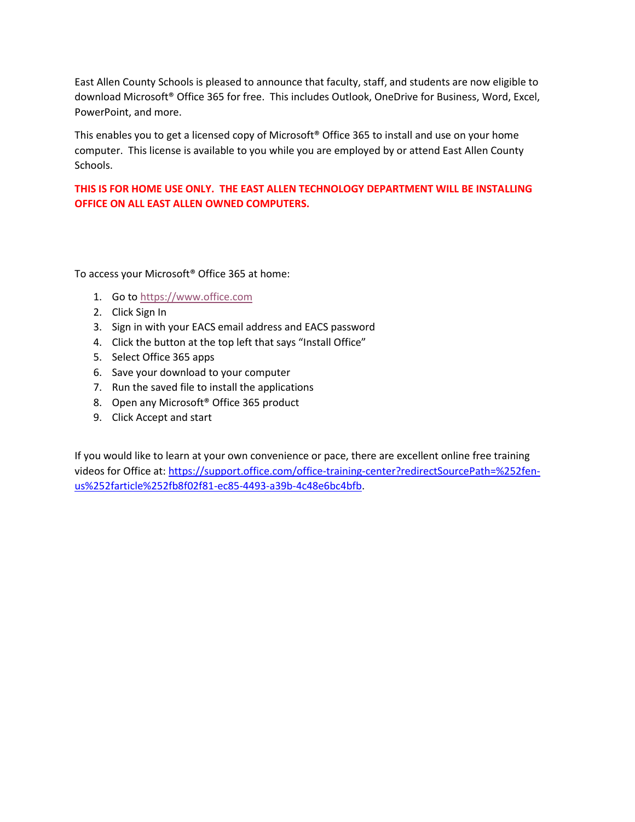East Allen County Schools is pleased to announce that faculty, staff, and students are now eligible to download Microsoft® Office 365 for free. This includes Outlook, OneDrive for Business, Word, Excel, PowerPoint, and more.

This enables you to get a licensed copy of Microsoft® Office 365 to install and use on your home computer. This license is available to you while you are employed by or attend East Allen County Schools.

## **THIS IS FOR HOME USE ONLY. THE EAST ALLEN TECHNOLOGY DEPARTMENT WILL BE INSTALLING OFFICE ON ALL EAST ALLEN OWNED COMPUTERS.**

To access your Microsoft® Office 365 at home:

- 1. Go to [https://www.office.com](https://www.office.com/)
- 2. Click Sign In
- 3. Sign in with your EACS email address and EACS password
- 4. Click the button at the top left that says "Install Office"
- 5. Select Office 365 apps
- 6. Save your download to your computer
- 7. Run the saved file to install the applications
- 8. Open any Microsoft® Office 365 product
- 9. Click Accept and start

If you would like to learn at your own convenience or pace, there are excellent online free training videos for Office at: [https://support.office.com/office-training-center?redirectSourcePath=%252fen](https://support.office.com/office-training-center?redirectSourcePath=%252fen-us%252farticle%252fb8f02f81-ec85-4493-a39b-4c48e6bc4bfb)[us%252farticle%252fb8f02f81-ec85-4493-a39b-4c48e6bc4bfb.](https://support.office.com/office-training-center?redirectSourcePath=%252fen-us%252farticle%252fb8f02f81-ec85-4493-a39b-4c48e6bc4bfb)